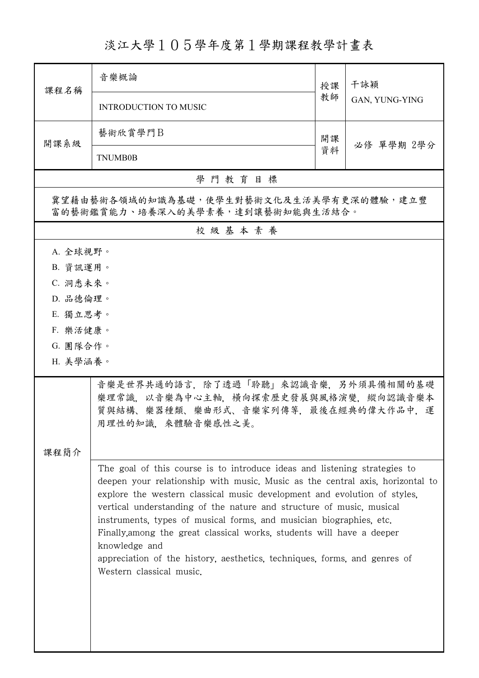## 淡江大學105學年度第1學期課程教學計畫表

| 課程名稱                                                                                                                                                                                                                                                                                                                                                                                                                                                                                                                                                                                     | 音樂概論                                                                                                                                   | 授課 | 干詠穎<br>GAN, YUNG-YING |  |
|------------------------------------------------------------------------------------------------------------------------------------------------------------------------------------------------------------------------------------------------------------------------------------------------------------------------------------------------------------------------------------------------------------------------------------------------------------------------------------------------------------------------------------------------------------------------------------------|----------------------------------------------------------------------------------------------------------------------------------------|----|-----------------------|--|
|                                                                                                                                                                                                                                                                                                                                                                                                                                                                                                                                                                                          | INTRODUCTION TO MUSIC                                                                                                                  | 教師 |                       |  |
| 開課系級                                                                                                                                                                                                                                                                                                                                                                                                                                                                                                                                                                                     | 藝術欣賞學門B                                                                                                                                | 開課 | 必修 單學期 2學分            |  |
|                                                                                                                                                                                                                                                                                                                                                                                                                                                                                                                                                                                          | <b>TNUMB0B</b>                                                                                                                         | 資料 |                       |  |
|                                                                                                                                                                                                                                                                                                                                                                                                                                                                                                                                                                                          | 學門教育目標                                                                                                                                 |    |                       |  |
| 冀望藉由藝術各領域的知識為基礎,使學生對藝術文化及生活美學有更深的體驗,建立豐<br>富的藝術鑑賞能力、培養深入的美學素養,達到讓藝術知能與生活結合。                                                                                                                                                                                                                                                                                                                                                                                                                                                                                                              |                                                                                                                                        |    |                       |  |
|                                                                                                                                                                                                                                                                                                                                                                                                                                                                                                                                                                                          | 校級基本素養                                                                                                                                 |    |                       |  |
| A. 全球視野。                                                                                                                                                                                                                                                                                                                                                                                                                                                                                                                                                                                 |                                                                                                                                        |    |                       |  |
| B. 資訊運用。                                                                                                                                                                                                                                                                                                                                                                                                                                                                                                                                                                                 |                                                                                                                                        |    |                       |  |
| C. 洞悉未來。                                                                                                                                                                                                                                                                                                                                                                                                                                                                                                                                                                                 |                                                                                                                                        |    |                       |  |
| D. 品德倫理。                                                                                                                                                                                                                                                                                                                                                                                                                                                                                                                                                                                 |                                                                                                                                        |    |                       |  |
| E. 獨立思考。                                                                                                                                                                                                                                                                                                                                                                                                                                                                                                                                                                                 |                                                                                                                                        |    |                       |  |
| F. 樂活健康。                                                                                                                                                                                                                                                                                                                                                                                                                                                                                                                                                                                 |                                                                                                                                        |    |                       |  |
| G. 團隊合作。                                                                                                                                                                                                                                                                                                                                                                                                                                                                                                                                                                                 |                                                                                                                                        |    |                       |  |
| H. 美學涵養。                                                                                                                                                                                                                                                                                                                                                                                                                                                                                                                                                                                 |                                                                                                                                        |    |                       |  |
|                                                                                                                                                                                                                                                                                                                                                                                                                                                                                                                                                                                          | 音樂是世界共通的語言,除了透過「聆聽」來認識音樂,另外須具備相關的基礎<br>樂理常識,以音樂為中心主軸,橫向探索歷史發展與風格演變,縱向認識音樂本<br>質與結構、樂器種類、樂曲形式、音樂家列傳等,最後在經典的偉大作品中,運<br>用理性的知識,來體驗音樂感性之美。 |    |                       |  |
| 課程簡介                                                                                                                                                                                                                                                                                                                                                                                                                                                                                                                                                                                     |                                                                                                                                        |    |                       |  |
| The goal of this course is to introduce ideas and listening strategies to<br>deepen your relationship with music. Music as the central axis, horizontal to<br>explore the western classical music development and evolution of styles.<br>vertical understanding of the nature and structure of music, musical<br>instruments, types of musical forms, and musician biographies, etc.<br>Finally, among the great classical works, students will have a deeper<br>knowledge and<br>appreciation of the history, aesthetics, techniques, forms, and genres of<br>Western classical music. |                                                                                                                                        |    |                       |  |
|                                                                                                                                                                                                                                                                                                                                                                                                                                                                                                                                                                                          |                                                                                                                                        |    |                       |  |

ı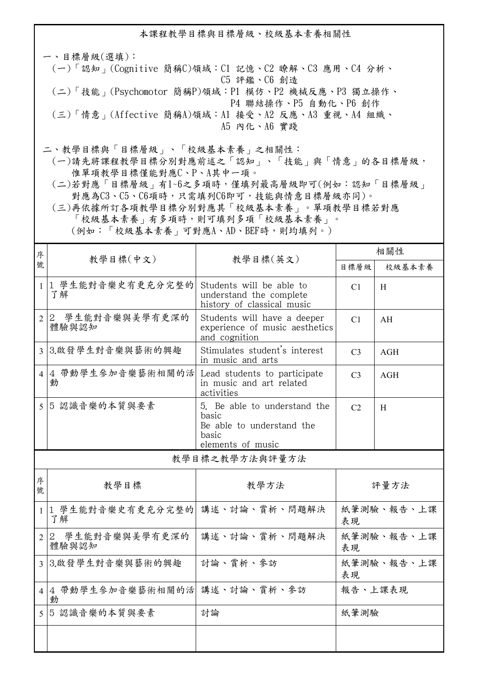本課程教學目標與目標層級、校級基本素養相關性

一、目標層級(選填): (一)「認知」(Cognitive 簡稱C)領域:C1 記憶、C2 瞭解、C3 應用、C4 分析、 C5 評鑑、C6 創造 (二)「技能」(Psychomotor 簡稱P)領域:P1 模仿、P2 機械反應、P3 獨立操作、 P4 聯結操作、P5 自動化、P6 創作 (三)「情意」(Affective 簡稱A)領域:A1 接受、A2 反應、A3 重視、A4 組織、 A5 內化、A6 實踐

二、教學目標與「目標層級」、「校級基本素養」之相關性:

 (一)請先將課程教學目標分別對應前述之「認知」、「技能」與「情意」的各目標層級, 惟單項教學目標僅能對應C、P、A其中一項。

 (二)若對應「目標層級」有1~6之多項時,僅填列最高層級即可(例如:認知「目標層級」 對應為C3、C5、C6項時,只需填列C6即可,技能與情意目標層級亦同)。

 (三)再依據所訂各項教學目標分別對應其「校級基本素養」。單項教學目標若對應 「校級基本素養」有多項時,則可填列多項「校級基本素養」。 (例如:「校級基本素養」可對應A、AD、BEF時,則均填列。)

| 序<br>號         | 教學目標(中文)                                | 教學目標(英文)                                                                                         | 相關性              |        |  |  |  |
|----------------|-----------------------------------------|--------------------------------------------------------------------------------------------------|------------------|--------|--|--|--|
|                |                                         |                                                                                                  | 目標層級             | 校級基本素養 |  |  |  |
| $\mathbf{1}$   | 1 學生能對音樂史有更充分完整的<br>了解                  | Students will be able to<br>understand the complete<br>history of classical music                | C1               | H      |  |  |  |
| $\overline{2}$ | 2 學生能對音樂與美學有更深的<br>體驗與認知                | Students will have a deeper<br>experience of music aesthetics<br>and cognition                   | C <sub>1</sub>   | AH     |  |  |  |
|                | 3 3.啟發學生對音樂與藝術的興趣                       | Stimulates student's interest<br>in music and arts                                               | C <sub>3</sub>   | AGH    |  |  |  |
|                | 4 4 帶動學生參加音樂藝術相關的活<br>動                 | Lead students to participate<br>in music and art related<br>activities                           | C <sub>3</sub>   | AGH    |  |  |  |
|                | 5 5 認識音樂的本質與要素                          | 5. Be able to understand the<br>basic<br>Be able to understand the<br>basic<br>elements of music | C2               | H      |  |  |  |
|                | 教學目標之教學方法與評量方法                          |                                                                                                  |                  |        |  |  |  |
| 序<br>號         | 教學目標                                    | 教學方法                                                                                             |                  | 評量方法   |  |  |  |
|                | 1  1 學生能對音樂史有更充分完整的 講述、討論、賞析、問題解決<br>了解 |                                                                                                  | 紙筆測驗、報告、上課<br>表現 |        |  |  |  |
| $\overline{2}$ | 2 學生能對音樂與美學有更深的<br>體驗與認知                | 講述、討論、賞析、問題解決                                                                                    | 紙筆測驗、報告、上課<br>表現 |        |  |  |  |
| $\overline{3}$ | 3.啟發學生對音樂與藝術的興趣                         | 討論、賞析、參訪                                                                                         | 紙筆測驗、報告、上課<br>表現 |        |  |  |  |
|                | 4 4 帶動學生參加音樂藝術相關的活 講述、討論、賞析、參訪<br>動     |                                                                                                  | 報告、上課表現          |        |  |  |  |
|                | 5 5 認識音樂的本質與要素                          | 討論                                                                                               | 紙筆測驗             |        |  |  |  |
|                |                                         |                                                                                                  |                  |        |  |  |  |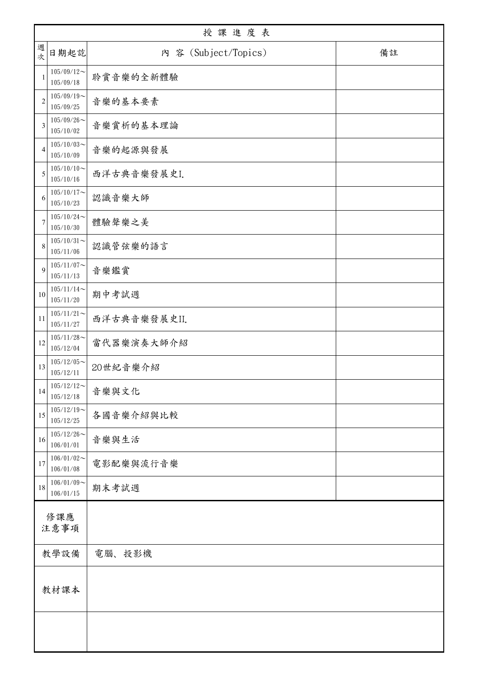|                | 授課進度表                      |                      |    |  |  |
|----------------|----------------------------|----------------------|----|--|--|
| 週<br>次         | 日期起訖                       | 內 容 (Subject/Topics) | 備註 |  |  |
| 1              | $105/09/12$ ~<br>105/09/18 | 聆賞音樂的全新體驗            |    |  |  |
| $\overline{2}$ | $105/09/19$ ~<br>105/09/25 | 音樂的基本要素              |    |  |  |
| $\mathfrak{Z}$ | $105/09/26$ ~<br>105/10/02 | 音樂賞析的基本理論            |    |  |  |
| $\overline{4}$ | $105/10/03$ ~<br>105/10/09 | 音樂的起源與發展             |    |  |  |
| 5              | $105/10/10$ ~<br>105/10/16 | 西洋古典音樂發展史I.          |    |  |  |
| 6              | $105/10/17$ ~<br>105/10/23 | 認識音樂大師               |    |  |  |
| 7              | $105/10/24$ ~<br>105/10/30 | 體驗聲樂之美               |    |  |  |
| 8              | $105/10/31$ ~<br>105/11/06 | 認識管弦樂的語言             |    |  |  |
| $\mathbf Q$    | $105/11/07$ ~<br>105/11/13 | 音樂鑑賞                 |    |  |  |
| 10             | $105/11/14$ ~<br>105/11/20 | 期中考試週                |    |  |  |
| 11             | $105/11/21$ ~<br>105/11/27 | 西洋古典音樂發展史II.         |    |  |  |
| 12             | $105/11/28$ ~<br>105/12/04 | 當代器樂演奏大師介紹           |    |  |  |
| 13             | $105/12/05$ ~<br>105/12/11 | 20世紀音樂介紹             |    |  |  |
| 14             | $105/12/12$ ~<br>105/12/18 | 音樂與文化                |    |  |  |
| 15             | $105/12/19$ ~<br>105/12/25 | 各國音樂介紹與比較            |    |  |  |
| 16             | $105/12/26$ ~<br>106/01/01 | 音樂與生活                |    |  |  |
| 17             | $106/01/02$ ~<br>106/01/08 | 電影配樂與流行音樂            |    |  |  |
| $18\,$         | $106/01/09$ ~<br>106/01/15 | 期末考試週                |    |  |  |
| 修課應            |                            |                      |    |  |  |
| 注意事項           |                            |                      |    |  |  |
| 教學設備           |                            | 電腦、投影機               |    |  |  |
| 教材課本           |                            |                      |    |  |  |
|                |                            |                      |    |  |  |
|                |                            |                      |    |  |  |